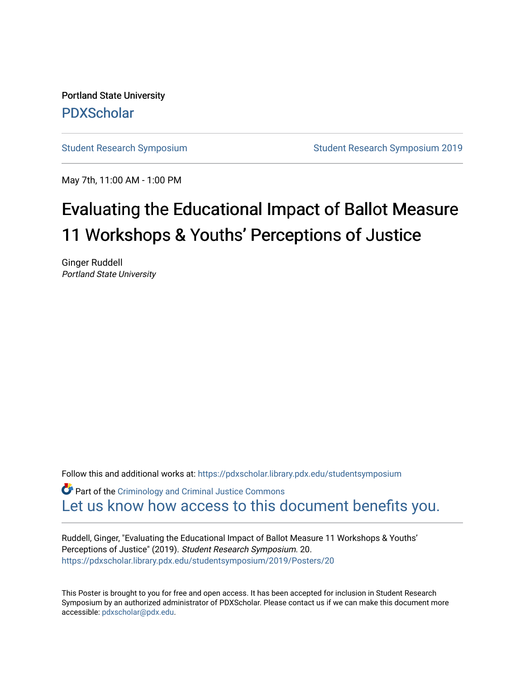Portland State University [PDXScholar](https://pdxscholar.library.pdx.edu/)

[Student Research Symposium](https://pdxscholar.library.pdx.edu/studentsymposium) [Student Research Symposium 2019](https://pdxscholar.library.pdx.edu/studentsymposium/2019) 

May 7th, 11:00 AM - 1:00 PM

#### Evaluating the Educational Impact of Ballot Measure 11 Workshops & Youths' Perceptions of Justice

Ginger Ruddell Portland State University

Follow this and additional works at: [https://pdxscholar.library.pdx.edu/studentsymposium](https://pdxscholar.library.pdx.edu/studentsymposium?utm_source=pdxscholar.library.pdx.edu%2Fstudentsymposium%2F2019%2FPosters%2F20&utm_medium=PDF&utm_campaign=PDFCoverPages) 

**C** Part of the [Criminology and Criminal Justice Commons](http://network.bepress.com/hgg/discipline/367?utm_source=pdxscholar.library.pdx.edu%2Fstudentsymposium%2F2019%2FPosters%2F20&utm_medium=PDF&utm_campaign=PDFCoverPages) [Let us know how access to this document benefits you.](http://library.pdx.edu/services/pdxscholar-services/pdxscholar-feedback/) 

Ruddell, Ginger, "Evaluating the Educational Impact of Ballot Measure 11 Workshops & Youths' Perceptions of Justice" (2019). Student Research Symposium. 20. [https://pdxscholar.library.pdx.edu/studentsymposium/2019/Posters/20](https://pdxscholar.library.pdx.edu/studentsymposium/2019/Posters/20?utm_source=pdxscholar.library.pdx.edu%2Fstudentsymposium%2F2019%2FPosters%2F20&utm_medium=PDF&utm_campaign=PDFCoverPages) 

This Poster is brought to you for free and open access. It has been accepted for inclusion in Student Research Symposium by an authorized administrator of PDXScholar. Please contact us if we can make this document more accessible: [pdxscholar@pdx.edu.](mailto:pdxscholar@pdx.edu)